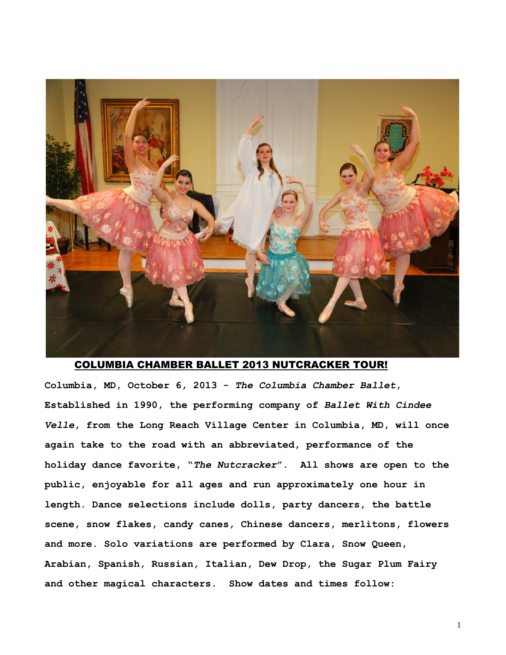

#### COLUMBIA CHAMBER BALLET 2013 NUTCRACKER TOUR!

**Columbia, MD, October 6, 2013 -** *The Columbia Chamber Ballet***, Established in 1990, the performing company of** *Ballet With Cindee Velle***, from the Long Reach Village Center in Columbia, MD, will once again take to the road with an abbreviated, performance of the holiday dance favorite, "***The Nutcracker***". All shows are open to the public, enjoyable for all ages and run approximately one hour in length. Dance selections include dolls, party dancers, the battle scene, snow flakes, candy canes, Chinese dancers, merlitons, flowers and more. Solo variations are performed by Clara, Snow Queen, Arabian, Spanish, Russian, Italian, Dew Drop, the Sugar Plum Fairy and other magical characters. Show dates and times follow:** 

1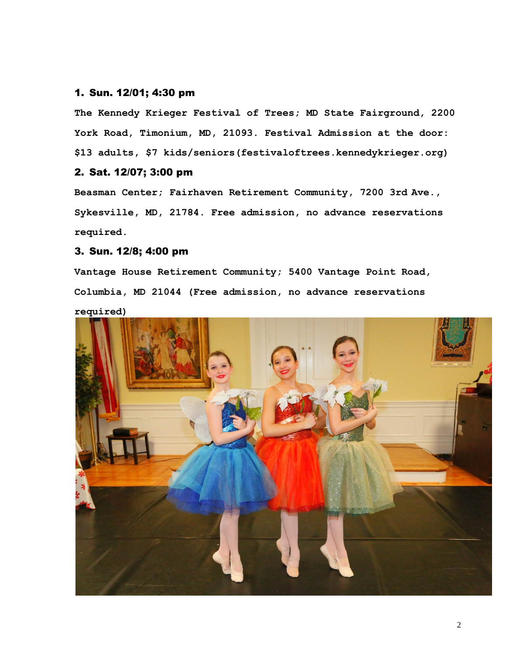#### 1. Sun. 12/01; 4:30 pm

**The Kennedy Krieger Festival of Trees; MD State Fairground, 2200 York Road, Timonium, MD, 21093. Festival Admission at the door: \$13 adults, \$7 kids/seniors(festivaloftrees.kennedykrieger.org)**

#### 2. Sat. 12/07; 3:00 pm

**Beasman Center; Fairhaven Retirement Community, 7200 3rd Ave., Sykesville, MD, 21784. Free admission, no advance reservations required.**

### 3. Sun. 12/8; 4:00 pm

**Vantage House Retirement Community; 5400 Vantage Point Road, Columbia, MD 21044 (Free admission, no advance reservations required)** 

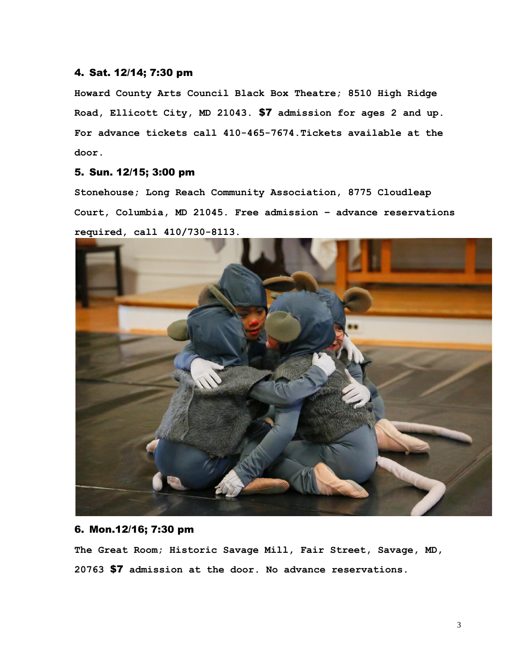#### 4. Sat. 12/14; 7:30 pm

**Howard County Arts Council Black Box Theatre; 8510 High Ridge Road, Ellicott City, MD 21043.** \$7 **admission for ages 2 and up. For advance tickets call 410-465-7674.Tickets available at the door.** 

# 5. Sun. 12/15; 3:00 pm

**Stonehouse; Long Reach Community Association, 8775 Cloudleap Court, Columbia, MD 21045. Free admission – advance reservations required, call 410/730-8113.** 



## 6. Mon.12/16; 7:30 pm

**The Great Room; Historic Savage Mill, Fair Street, Savage, MD, 20763** \$7 **admission at the door. No advance reservations.**